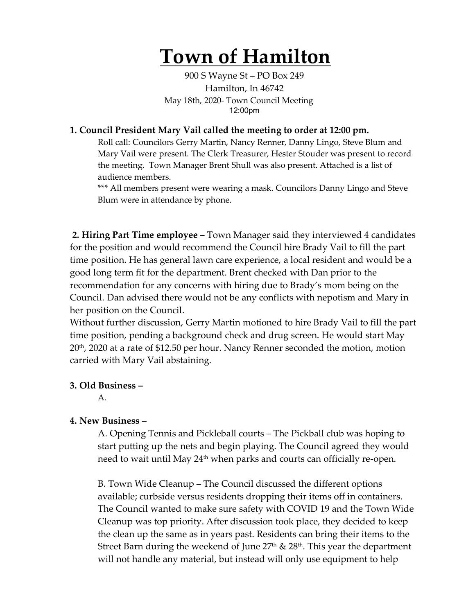## **Town of Hamilton**

900 S Wayne St – PO Box 249 Hamilton, In 46742 May 18th, 2020- Town Council Meeting 12:00pm

## **1. Council President Mary Vail called the meeting to order at 12:00 pm.**

Roll call: Councilors Gerry Martin, Nancy Renner, Danny Lingo, Steve Blum and Mary Vail were present. The Clerk Treasurer, Hester Stouder was present to record the meeting. Town Manager Brent Shull was also present. Attached is a list of audience members.

\*\*\* All members present were wearing a mask. Councilors Danny Lingo and Steve Blum were in attendance by phone.

**2. Hiring Part Time employee –** Town Manager said they interviewed 4 candidates for the position and would recommend the Council hire Brady Vail to fill the part time position. He has general lawn care experience, a local resident and would be a good long term fit for the department. Brent checked with Dan prior to the recommendation for any concerns with hiring due to Brady's mom being on the Council. Dan advised there would not be any conflicts with nepotism and Mary in her position on the Council.

Without further discussion, Gerry Martin motioned to hire Brady Vail to fill the part time position, pending a background check and drug screen. He would start May  $20<sup>th</sup>$ , 2020 at a rate of \$12.50 per hour. Nancy Renner seconded the motion, motion carried with Mary Vail abstaining.

## **3. Old Business –**

A.

## **4. New Business –**

A. Opening Tennis and Pickleball courts – The Pickball club was hoping to start putting up the nets and begin playing. The Council agreed they would need to wait until May 24<sup>th</sup> when parks and courts can officially re-open.

B. Town Wide Cleanup – The Council discussed the different options available; curbside versus residents dropping their items off in containers. The Council wanted to make sure safety with COVID 19 and the Town Wide Cleanup was top priority. After discussion took place, they decided to keep the clean up the same as in years past. Residents can bring their items to the Street Barn during the weekend of June  $27<sup>th</sup>$  &  $28<sup>th</sup>$ . This year the department will not handle any material, but instead will only use equipment to help